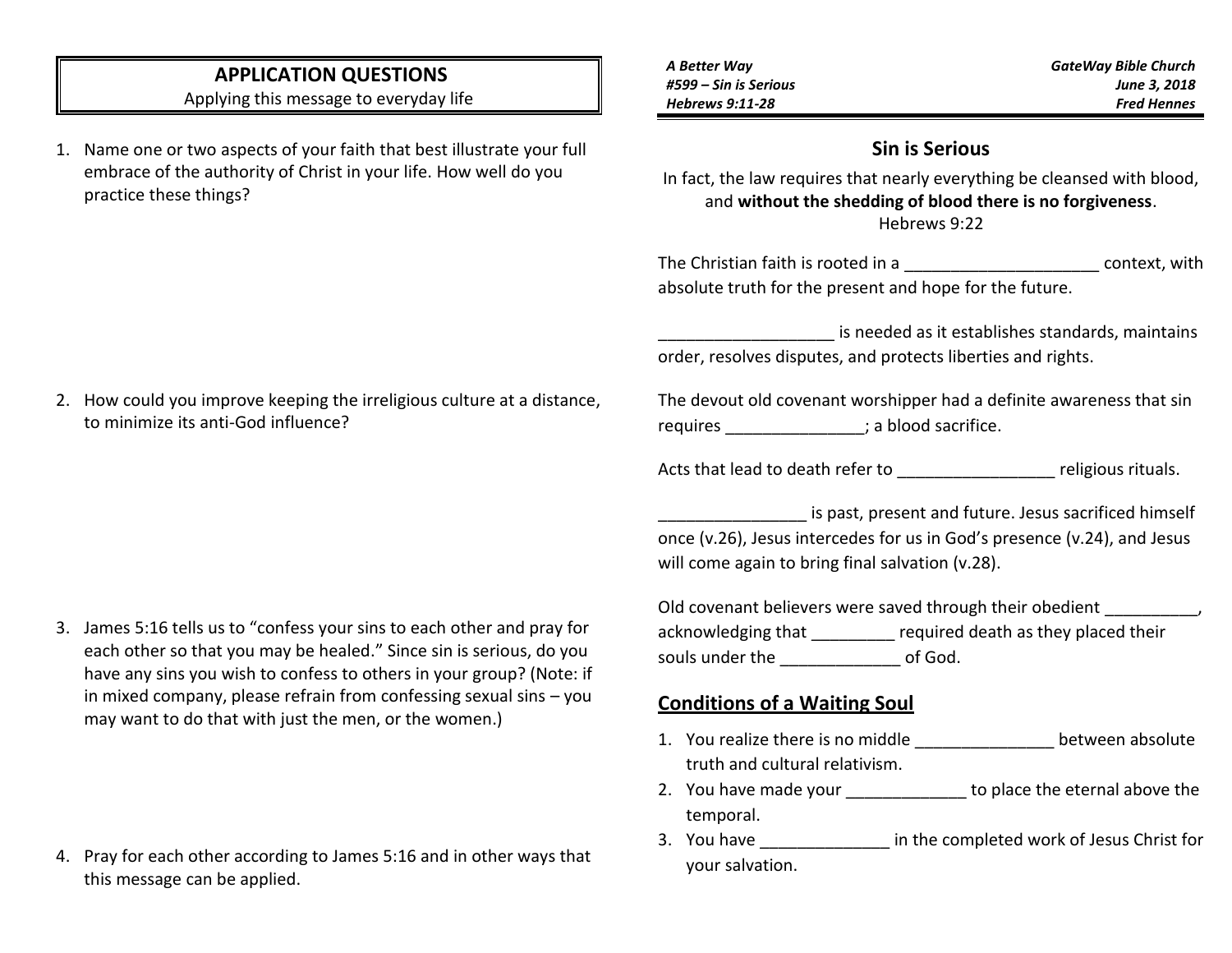# **APPLICATION QUESTIONS**

Applying this message to everyday life

1. Name one or two aspects of your faith that best illustrate your full embrace of the authority of Christ in your life. How well do you practice these things?

| A Better Way           |  |
|------------------------|--|
| #599 – Sin is Serious  |  |
| <b>Hebrews 9:11-28</b> |  |

*GateWay Bible Church June 3, 2018 Fred Hennes*

# **Sin is Serious**

In fact, the law requires that nearly everything be cleansed with blood, and **without the shedding of blood there is no forgiveness**. Hebrews 9:22

The Christian faith is rooted in a The Context, with absolute truth for the present and hope for the future.

is needed as it establishes standards, maintains order, resolves disputes, and protects liberties and rights.

The devout old covenant worshipper had a definite awareness that sin requires  $\qquad \qquad ;$  a blood sacrifice.

Acts that lead to death refer to example and religious rituals.

is past, present and future. Jesus sacrificed himself once (v.26), Jesus intercedes for us in God's presence (v.24), and Jesus will come again to bring final salvation (v.28).

Old covenant believers were saved through their obedient  $\qquad \qquad$ , acknowledging that **required death as they placed their** souls under the  $\qquad \qquad$  of God.

## **Conditions of a Waiting Soul**

- 1. You realize there is no middle between absolute truth and cultural relativism.
- 2. You have made your to place the eternal above the temporal.
- 3. You have \_\_\_\_\_\_\_\_\_\_\_\_\_\_ in the completed work of Jesus Christ for your salvation.

2. How could you improve keeping the irreligious culture at a distance, to minimize its anti-God influence?

3. James 5:16 tells us to "confess your sins to each other and pray for each other so that you may be healed." Since sin is serious, do you have any sins you wish to confess to others in your group? (Note: if in mixed company, please refrain from confessing sexual sins – you may want to do that with just the men, or the women.)

4. Pray for each other according to James 5:16 and in other ways that this message can be applied.